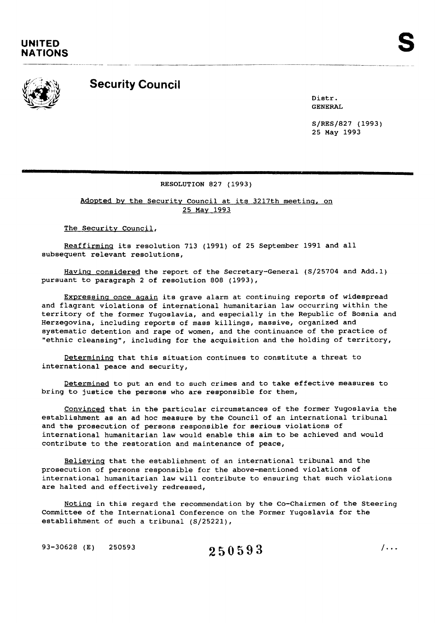---------~----- --------



## **Security Council**

Distr. GENERAL

S/RES/827 (1993) 25 May 1993

## RESOLUTION 827 (1993)

Adopted by the Security Council at its 3217th meeting. on 25 May 1993

The Security Council,

Reaffirming its resolution 713 (1991) of 25 september 1991 and all subsequent relevant resolutions,

Having considered the report of the Secretary-General (S/25704 and Add.l) pursuant to paragraph 2 of resolution 808 (1993),

Expressing once again its grave alarm at continuing reports of widespread and flagrant violations of international humanitarian law occurring within the territory of the former Yugoslavia, and especially in the Republic of Bosnia and Herzegovina, including reports of mass killings, massive, organized and systematic detention and rape of women, and the continuance of the practice of "ethnic cleansing", including for the acquisition and the holding of territory,

Determining that this situation continues to constitute a threat to international peace and security,

Determined to put an end to such crimes and to take effective measures to bring to justice the persons who are responsible for them,

Convinced that in the particular circumstances of the former Yugoslavia the establishment as an ad hoc measure by the Council of an international tribunal and the prosecution of persons responsible for serious violations of international humanitarian law would enable this aim to be achieved and would contribute to the restoration and maintenance of peace,

Believing that the establishment of an international tribunal and the prosecution of persons responsible for the above-mentioned violations of international humanitarian law will contribute to ensuring that such violations are halted and effectively redressed,

Noting in this regard the recommendation by the Co-Chairmen of the Steering Committee of the International Conference on the Former Yugoslavia for the establishment of such a tribunal (S/25221),

93-30628 (E) 250593 **250593** / ...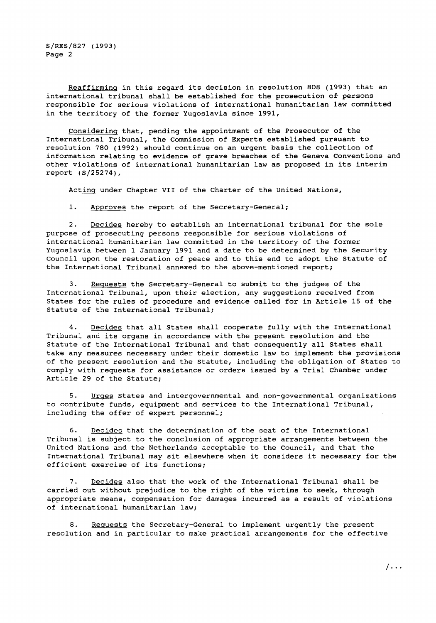S/RES/B27 (1993) Page 2

Reaffirming in this regard its decision in resolution 808 (1993) that an international tribunal shall be established for the prosecution of persons responsible for serious violations of international humanitarian law committed in the territory of the former Yugoslavia since 1991,

Considerina that, pending the appointment of the Prosecutor of the International Tribunal, the Commission of Experts established pursuant to resolution 7BO (1992) should continue on an urgent basis the collection of information relating to evidence of grave breaches of the Geneva Conventions and other violations of international humanitarian law as proposed in its interim report (S/25274),

Acting under Chapter VII of the Charter of the United Nations,

1. Approves the report of the Secretary-General;

2. Decides hereby to establish an international tribunal for the sole purpose of prosecuting persons responsible for serious violations of international humanitarian law committed in the territory of the former Yugoslavia between 1 January 1991 and a date to be determined by the Security Council upon the restoration of peace and to this end to adopt the Statute of the International Tribunal annexed to the above-mentioned report;

3. Requests the Secretary-General to submit to the judges of the International Tribunal, upon their election, any suggestions received from states for the rules of procedure and evidence called for in Article 15 of the statute of the International Tribunal;

4. Decides that all States shall cooperate fully with the International Tribunal and its organs in accordance with the present resolution and the Statute of the International Tribunal and that consequently all States shall take any measures necessary under their domestic law to implement the provisions of the present resolution and the Statute, including the obligation of States to comply with requests for assistance or orders issued by a Trial Chamber under Article 29 of the Statute;

5. Urges States and intergovernmental and non-governmental organizations to contribute funds, equipment and services to the International Tribunal, including the offer of expert personnel;

6. Decides that the determination of the seat of the International Tribunal is subject to the conclusion of appropriate arrangements between the United Nations and the Netherlands acceptable to the Council, and that the International Tribunal may sit elsewhere when it considers it necessary for the efficient exercise of its functions;

7. Decides also that the work of the International Tribunal shall be carried out without prejudice to the right of the victims to seek, through appropriate means, compensation for damages incurred as a result of violations of international humanitarian law;

8. Requests the Secretary-General to implement urgently the present resolution and in particular to make practical arrangements for the effective